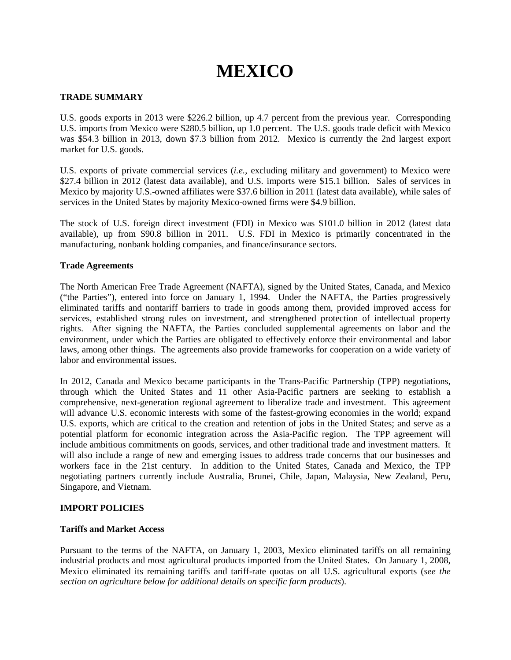# **MEXICO**

# **TRADE SUMMARY**

U.S. goods exports in 2013 were \$226.2 billion, up 4.7 percent from the previous year. Corresponding U.S. imports from Mexico were \$280.5 billion, up 1.0 percent. The U.S. goods trade deficit with Mexico was \$54.3 billion in 2013, down \$7.3 billion from 2012. Mexico is currently the 2nd largest export market for U.S. goods.

U.S. exports of private commercial services (*i.e.*, excluding military and government) to Mexico were \$27.4 billion in 2012 (latest data available), and U.S. imports were \$15.1 billion. Sales of services in Mexico by majority U.S.-owned affiliates were \$37.6 billion in 2011 (latest data available), while sales of services in the United States by majority Mexico-owned firms were \$4.9 billion.

The stock of U.S. foreign direct investment (FDI) in Mexico was \$101.0 billion in 2012 (latest data available), up from \$90.8 billion in 2011. U.S. FDI in Mexico is primarily concentrated in the manufacturing, nonbank holding companies, and finance/insurance sectors.

## **Trade Agreements**

The North American Free Trade Agreement (NAFTA), signed by the United States, Canada, and Mexico ("the Parties"), entered into force on January 1, 1994. Under the NAFTA, the Parties progressively eliminated tariffs and nontariff barriers to trade in goods among them, provided improved access for services, established strong rules on investment, and strengthened protection of intellectual property rights. After signing the NAFTA, the Parties concluded supplemental agreements on labor and the environment, under which the Parties are obligated to effectively enforce their environmental and labor laws, among other things. The agreements also provide frameworks for cooperation on a wide variety of labor and environmental issues.

In 2012, Canada and Mexico became participants in the Trans-Pacific Partnership (TPP) negotiations, through which the United States and 11 other Asia-Pacific partners are seeking to establish a comprehensive, next-generation regional agreement to liberalize trade and investment. This agreement will advance U.S. economic interests with some of the fastest-growing economies in the world; expand U.S. exports, which are critical to the creation and retention of jobs in the United States; and serve as a potential platform for economic integration across the Asia-Pacific region. The TPP agreement will include ambitious commitments on goods, services, and other traditional trade and investment matters. It will also include a range of new and emerging issues to address trade concerns that our businesses and workers face in the 21st century. In addition to the United States, Canada and Mexico, the TPP negotiating partners currently include Australia, Brunei, Chile, Japan, Malaysia, New Zealand, Peru, Singapore, and Vietnam.

#### **IMPORT POLICIES**

## **Tariffs and Market Access**

Pursuant to the terms of the NAFTA, on January 1, 2003, Mexico eliminated tariffs on all remaining industrial products and most agricultural products imported from the United States. On January 1, 2008, Mexico eliminated its remaining tariffs and tariff-rate quotas on all U.S. agricultural exports (*see the section on agriculture below for additional details on specific farm products*).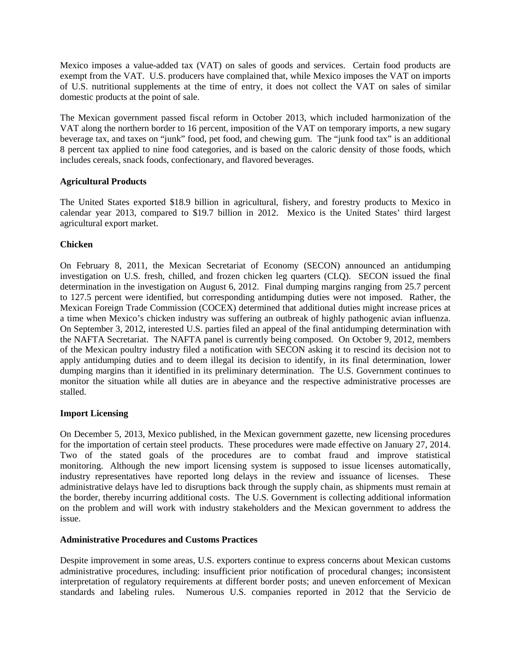Mexico imposes a value-added tax (VAT) on sales of goods and services. Certain food products are exempt from the VAT. U.S. producers have complained that, while Mexico imposes the VAT on imports of U.S. nutritional supplements at the time of entry, it does not collect the VAT on sales of similar domestic products at the point of sale.

The Mexican government passed fiscal reform in October 2013, which included harmonization of the VAT along the northern border to 16 percent, imposition of the VAT on temporary imports, a new sugary beverage tax, and taxes on "junk" food, pet food, and chewing gum. The "junk food tax" is an additional 8 percent tax applied to nine food categories, and is based on the caloric density of those foods, which includes cereals, snack foods, confectionary, and flavored beverages.

# **Agricultural Products**

The United States exported \$18.9 billion in agricultural, fishery, and forestry products to Mexico in calendar year 2013, compared to \$19.7 billion in 2012. Mexico is the United States' third largest agricultural export market.

## **Chicken**

On February 8, 2011, the Mexican Secretariat of Economy (SECON) announced an antidumping investigation on U.S. fresh, chilled, and frozen chicken leg quarters (CLQ). SECON issued the final determination in the investigation on August 6, 2012. Final dumping margins ranging from 25.7 percent to 127.5 percent were identified, but corresponding antidumping duties were not imposed. Rather, the Mexican Foreign Trade Commission (COCEX) determined that additional duties might increase prices at a time when Mexico's chicken industry was suffering an outbreak of highly pathogenic avian influenza. On September 3, 2012, interested U.S. parties filed an appeal of the final antidumping determination with the NAFTA Secretariat. The NAFTA panel is currently being composed. On October 9, 2012, members of the Mexican poultry industry filed a notification with SECON asking it to rescind its decision not to apply antidumping duties and to deem illegal its decision to identify, in its final determination, lower dumping margins than it identified in its preliminary determination. The U.S. Government continues to monitor the situation while all duties are in abeyance and the respective administrative processes are stalled.

## **Import Licensing**

On December 5, 2013, Mexico published, in the Mexican government gazette, new licensing procedures for the importation of certain steel products. These procedures were made effective on January 27, 2014. Two of the stated goals of the procedures are to combat fraud and improve statistical monitoring. Although the new import licensing system is supposed to issue licenses automatically, industry representatives have reported long delays in the review and issuance of licenses. These administrative delays have led to disruptions back through the supply chain, as shipments must remain at the border, thereby incurring additional costs. The U.S. Government is collecting additional information on the problem and will work with industry stakeholders and the Mexican government to address the issue.

## **Administrative Procedures and Customs Practices**

Despite improvement in some areas, U.S. exporters continue to express concerns about Mexican customs administrative procedures, including: insufficient prior notification of procedural changes; inconsistent interpretation of regulatory requirements at different border posts; and uneven enforcement of Mexican standards and labeling rules. Numerous U.S. companies reported in 2012 that the Servicio de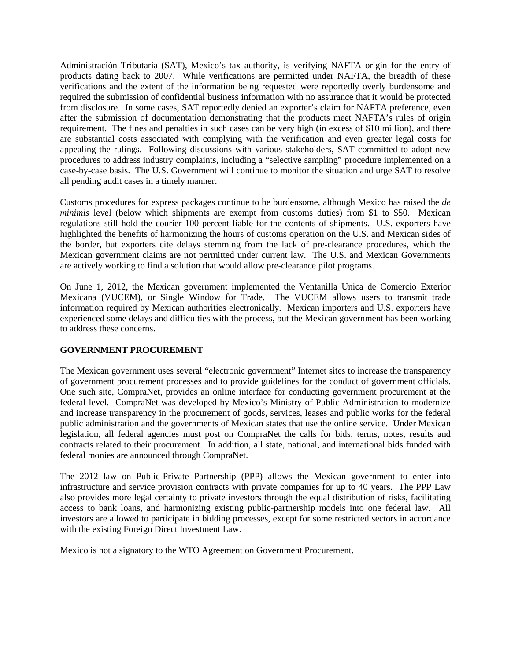Administración Tributaria (SAT), Mexico's tax authority, is verifying NAFTA origin for the entry of products dating back to 2007. While verifications are permitted under NAFTA, the breadth of these verifications and the extent of the information being requested were reportedly overly burdensome and required the submission of confidential business information with no assurance that it would be protected from disclosure. In some cases, SAT reportedly denied an exporter's claim for NAFTA preference, even after the submission of documentation demonstrating that the products meet NAFTA's rules of origin requirement. The fines and penalties in such cases can be very high (in excess of \$10 million), and there are substantial costs associated with complying with the verification and even greater legal costs for appealing the rulings. Following discussions with various stakeholders, SAT committed to adopt new procedures to address industry complaints, including a "selective sampling" procedure implemented on a case-by-case basis. The U.S. Government will continue to monitor the situation and urge SAT to resolve all pending audit cases in a timely manner.

Customs procedures for express packages continue to be burdensome, although Mexico has raised the *de minimis* level (below which shipments are exempt from customs duties) from \$1 to \$50. Mexican regulations still hold the courier 100 percent liable for the contents of shipments. U.S. exporters have highlighted the benefits of harmonizing the hours of customs operation on the U.S. and Mexican sides of the border, but exporters cite delays stemming from the lack of pre-clearance procedures, which the Mexican government claims are not permitted under current law. The U.S. and Mexican Governments are actively working to find a solution that would allow pre-clearance pilot programs.

On June 1, 2012, the Mexican government implemented the Ventanilla Unica de Comercio Exterior Mexicana (VUCEM), or Single Window for Trade. The VUCEM allows users to transmit trade information required by Mexican authorities electronically. Mexican importers and U.S. exporters have experienced some delays and difficulties with the process, but the Mexican government has been working to address these concerns.

## **GOVERNMENT PROCUREMENT**

The Mexican government uses several "electronic government" Internet sites to increase the transparency of government procurement processes and to provide guidelines for the conduct of government officials. One such site, CompraNet, provides an online interface for conducting government procurement at the federal level. CompraNet was developed by Mexico's Ministry of Public Administration to modernize and increase transparency in the procurement of goods, services, leases and public works for the federal public administration and the governments of Mexican states that use the online service. Under Mexican legislation, all federal agencies must post on CompraNet the calls for bids, terms, notes, results and contracts related to their procurement. In addition, all state, national, and international bids funded with federal monies are announced through CompraNet.

The 2012 law on Public-Private Partnership (PPP) allows the Mexican government to enter into infrastructure and service provision contracts with private companies for up to 40 years. The PPP Law also provides more legal certainty to private investors through the equal distribution of risks, facilitating access to bank loans, and harmonizing existing public-partnership models into one federal law. All investors are allowed to participate in bidding processes, except for some restricted sectors in accordance with the existing Foreign Direct Investment Law.

Mexico is not a signatory to the WTO Agreement on Government Procurement.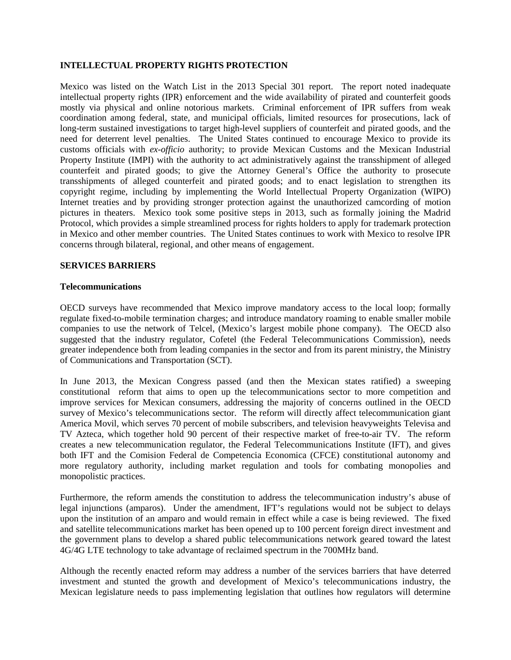#### **INTELLECTUAL PROPERTY RIGHTS PROTECTION**

Mexico was listed on the Watch List in the 2013 Special 301 report. The report noted inadequate intellectual property rights (IPR) enforcement and the wide availability of pirated and counterfeit goods mostly via physical and online notorious markets. Criminal enforcement of IPR suffers from weak coordination among federal, state, and municipal officials, limited resources for prosecutions, lack of long-term sustained investigations to target high-level suppliers of counterfeit and pirated goods, and the need for deterrent level penalties. The United States continued to encourage Mexico to provide its customs officials with *ex-officio* authority; to provide Mexican Customs and the Mexican Industrial Property Institute (IMPI) with the authority to act administratively against the transshipment of alleged counterfeit and pirated goods; to give the Attorney General's Office the authority to prosecute transshipments of alleged counterfeit and pirated goods; and to enact legislation to strengthen its copyright regime, including by implementing the World Intellectual Property Organization (WIPO) Internet treaties and by providing stronger protection against the unauthorized camcording of motion pictures in theaters. Mexico took some positive steps in 2013, such as formally joining the Madrid Protocol, which provides a simple streamlined process for rights holders to apply for trademark protection in Mexico and other member countries. The United States continues to work with Mexico to resolve IPR concerns through bilateral, regional, and other means of engagement.

#### **SERVICES BARRIERS**

#### **Telecommunications**

OECD surveys have recommended that Mexico improve mandatory access to the local loop; formally regulate fixed-to-mobile termination charges; and introduce mandatory roaming to enable smaller mobile companies to use the network of Telcel, (Mexico's largest mobile phone company). The OECD also suggested that the industry regulator, Cofetel (the Federal Telecommunications Commission), needs greater independence both from leading companies in the sector and from its parent ministry, the Ministry of Communications and Transportation (SCT).

In June 2013, the Mexican Congress passed (and then the Mexican states ratified) a sweeping constitutional reform that aims to open up the telecommunications sector to more competition and improve services for Mexican consumers, addressing the majority of concerns outlined in the OECD survey of Mexico's telecommunications sector. The reform will directly affect telecommunication giant America Movil, which serves 70 percent of mobile subscribers, and television heavyweights Televisa and TV Azteca, which together hold 90 percent of their respective market of free-to-air TV. The reform creates a new telecommunication regulator, the Federal Telecommunications Institute (IFT), and gives both IFT and the Comision Federal de Competencia Economica (CFCE) constitutional autonomy and more regulatory authority, including market regulation and tools for combating monopolies and monopolistic practices.

Furthermore, the reform amends the constitution to address the telecommunication industry's abuse of legal injunctions (amparos). Under the amendment, IFT's regulations would not be subject to delays upon the institution of an amparo and would remain in effect while a case is being reviewed. The fixed and satellite telecommunications market has been opened up to 100 percent foreign direct investment and the government plans to develop a shared public telecommunications network geared toward the latest 4G/4G LTE technology to take advantage of reclaimed spectrum in the 700MHz band.

Although the recently enacted reform may address a number of the services barriers that have deterred investment and stunted the growth and development of Mexico's telecommunications industry, the Mexican legislature needs to pass implementing legislation that outlines how regulators will determine